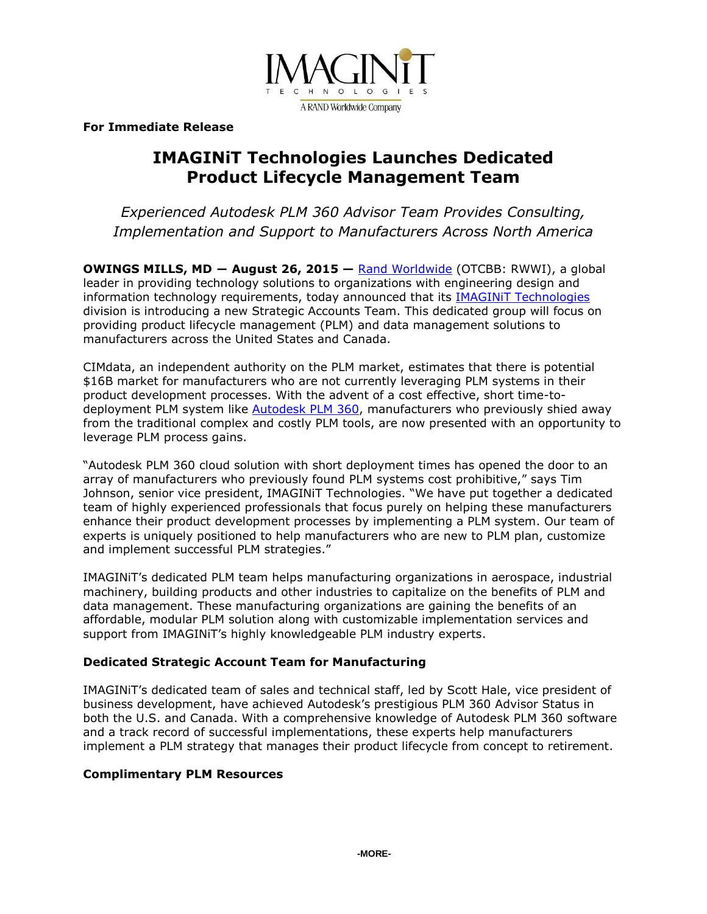

**For Immediate Release**

# **IMAGINiT Technologies Launches Dedicated Product Lifecycle Management Team**

*Experienced Autodesk PLM 360 Advisor Team Provides Consulting, Implementation and Support to Manufacturers Across North America*

**OWINGS MILLS, MD ― August 26, 2015 —** [Rand Worldwide](http://www.rand.com/) (OTCBB: RWWI), a global leader in providing technology solutions to organizations with engineering design and information technology requirements, today announced that its [IMAGINiT Technologies](http://www.imaginit.com/) division is introducing a new Strategic Accounts Team. This dedicated group will focus on providing product lifecycle management (PLM) and data management solutions to manufacturers across the United States and Canada.

CIMdata, an independent authority on the PLM market, estimates that there is potential \$16B market for manufacturers who are not currently leveraging PLM systems in their product development processes. With the advent of a cost effective, short time-todeployment PLM system like [Autodesk PLM 360,](http://www.imaginit.com/software/autodesk-products/plm-360) manufacturers who previously shied away from the traditional complex and costly PLM tools, are now presented with an opportunity to leverage PLM process gains.

"Autodesk PLM 360 cloud solution with short deployment times has opened the door to an array of manufacturers who previously found PLM systems cost prohibitive," says Tim Johnson, senior vice president, IMAGINiT Technologies. "We have put together a dedicated team of highly experienced professionals that focus purely on helping these manufacturers enhance their product development processes by implementing a PLM system. Our team of experts is uniquely positioned to help manufacturers who are new to PLM plan, customize and implement successful PLM strategies."

IMAGINiT's dedicated PLM team helps manufacturing organizations in aerospace, industrial machinery, building products and other industries to capitalize on the benefits of PLM and data management. These manufacturing organizations are gaining the benefits of an affordable, modular PLM solution along with customizable implementation services and support from IMAGINiT's highly knowledgeable PLM industry experts.

## **Dedicated Strategic Account Team for Manufacturing**

IMAGINiT's dedicated team of sales and technical staff, led by Scott Hale, vice president of business development, have achieved Autodesk's prestigious PLM 360 Advisor Status in both the U.S. and Canada. With a comprehensive knowledge of Autodesk PLM 360 software and a track record of successful implementations, these experts help manufacturers implement a PLM strategy that manages their product lifecycle from concept to retirement.

### **Complimentary PLM Resources**